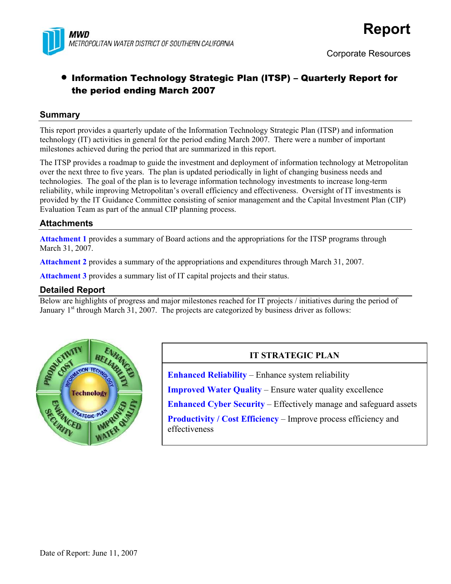

# • Information Technology Strategic Plan (ITSP) – Quarterly Report for the period ending March 2007

### **Summary**

This report provides a quarterly update of the Information Technology Strategic Plan (ITSP) and information technology (IT) activities in general for the period ending March 2007. There were a number of important milestones achieved during the period that are summarized in this report.

The ITSP provides a roadmap to guide the investment and deployment of information technology at Metropolitan over the next three to five years. The plan is updated periodically in light of changing business needs and technologies. The goal of the plan is to leverage information technology investments to increase long-term reliability, while improving Metropolitan's overall efficiency and effectiveness. Oversight of IT investments is provided by the IT Guidance Committee consisting of senior management and the Capital Investment Plan (CIP) Evaluation Team as part of the annual CIP planning process.

## **Attachments**

**Attachment 1** provides a summary of Board actions and the appropriations for the ITSP programs through March 31, 2007.

**Attachment 2** provides a summary of the appropriations and expenditures through March 31, 2007.

**Attachment 3** provides a summary list of IT capital projects and their status.

### **Detailed Report**

Below are highlights of progress and major milestones reached for IT projects / initiatives during the period of January  $1<sup>st</sup>$  through March 31, 2007. The projects are categorized by business driver as follows:



# **IT STRATEGIC PLAN**

**Enhanced Reliability** – Enhance system reliability

**Improved Water Quality** – Ensure water quality excellence

**Enhanced Cyber Security** – Effectively manage and safeguard assets

**Productivity / Cost Efficiency – Improve process efficiency and** effectiveness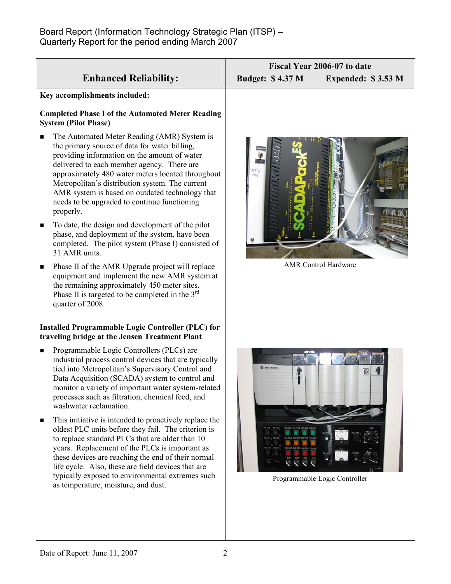|                                                                                                                                                                                                                                                                                                                                                                                                                                | Fiscal Year 2006-07 to date                   |  |  |
|--------------------------------------------------------------------------------------------------------------------------------------------------------------------------------------------------------------------------------------------------------------------------------------------------------------------------------------------------------------------------------------------------------------------------------|-----------------------------------------------|--|--|
| <b>Enhanced Reliability:</b>                                                                                                                                                                                                                                                                                                                                                                                                   | <b>Budget: \$4.37 M</b><br>Expended: \$3.53 M |  |  |
| Key accomplishments included:                                                                                                                                                                                                                                                                                                                                                                                                  |                                               |  |  |
| <b>Completed Phase I of the Automated Meter Reading</b><br><b>System (Pilot Phase)</b>                                                                                                                                                                                                                                                                                                                                         |                                               |  |  |
| The Automated Meter Reading (AMR) System is<br>■<br>the primary source of data for water billing,<br>providing information on the amount of water<br>delivered to each member agency. There are<br>approximately 480 water meters located throughout<br>Metropolitan's distribution system. The current<br>AMR system is based on outdated technology that<br>needs to be upgraded to continue functioning<br>properly.        | $\frac{\rho_{TU}}{\rho_{I}}$                  |  |  |
| To date, the design and development of the pilot<br>п<br>phase, and deployment of the system, have been<br>completed. The pilot system (Phase I) consisted of<br>31 AMR units.                                                                                                                                                                                                                                                 |                                               |  |  |
| Phase II of the AMR Upgrade project will replace<br>п<br>equipment and implement the new AMR system at<br>the remaining approximately 450 meter sites.<br>Phase II is targeted to be completed in the $3rd$<br>quarter of 2008.                                                                                                                                                                                                | <b>AMR</b> Control Hardware                   |  |  |
| <b>Installed Programmable Logic Controller (PLC) for</b><br>traveling bridge at the Jensen Treatment Plant                                                                                                                                                                                                                                                                                                                     |                                               |  |  |
| Programmable Logic Controllers (PLCs) are<br>П<br>industrial process control devices that are typically<br>tied into Metropolitan's Supervisory Control and<br>Data Acquisition (SCADA) system to control and<br>monitor a variety of important water system-related<br>processes such as filtration, chemical feed, and<br>washwater reclamation.                                                                             |                                               |  |  |
| This initiative is intended to proactively replace the<br>п<br>oldest PLC units before they fail. The criterion is<br>to replace standard PLCs that are older than 10<br>years. Replacement of the PLCs is important as<br>these devices are reaching the end of their normal<br>life cycle. Also, these are field devices that are<br>typically exposed to environmental extremes such<br>as temperature, moisture, and dust. | Programmable Logic Controller                 |  |  |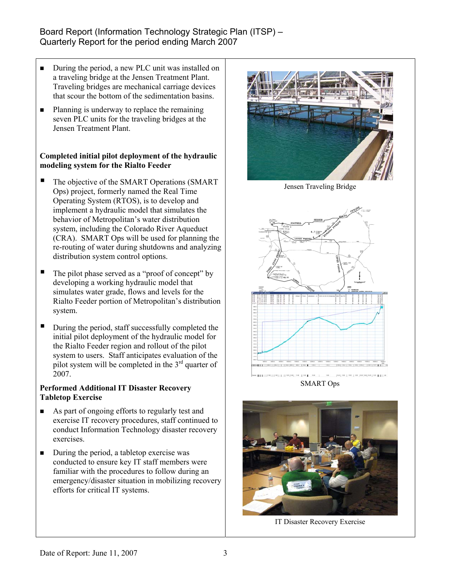# Board Report (Information Technology Strategic Plan (ITSP) – Quarterly Report for the period ending March 2007

- During the period, a new PLC unit was installed on a traveling bridge at the Jensen Treatment Plant. Traveling bridges are mechanical carriage devices that scour the bottom of the sedimentation basins.
- Planning is underway to replace the remaining seven PLC units for the traveling bridges at the Jensen Treatment Plant.

#### **Completed initial pilot deployment of the hydraulic modeling system for the Rialto Feeder**

- The objective of the SMART Operations (SMART Ops) project, formerly named the Real Time Operating System (RTOS), is to develop and implement a hydraulic model that simulates the behavior of Metropolitan's water distribution system, including the Colorado River Aqueduct (CRA). SMART Ops will be used for planning the re-routing of water during shutdowns and analyzing distribution system control options.
- $\blacksquare$  The pilot phase served as a "proof of concept" by developing a working hydraulic model that simulates water grade, flows and levels for the Rialto Feeder portion of Metropolitan's distribution system.
- $\blacksquare$  During the period, staff successfully completed the initial pilot deployment of the hydraulic model for the Rialto Feeder region and rollout of the pilot system to users. Staff anticipates evaluation of the pilot system will be completed in the  $3<sup>rd</sup>$  quarter of 2007.

#### **Performed Additional IT Disaster Recovery Tabletop Exercise**

- As part of ongoing efforts to regularly test and exercise IT recovery procedures, staff continued to conduct Information Technology disaster recovery exercises.
- $\blacksquare$  During the period, a tabletop exercise was conducted to ensure key IT staff members were familiar with the procedures to follow during an emergency/disaster situation in mobilizing recovery efforts for critical IT systems.



Jensen Traveling Bridge



SMART Ops



IT Disaster Recovery Exercise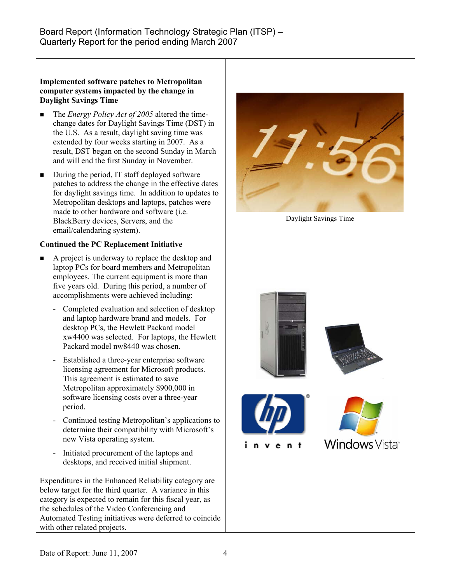#### **Implemented software patches to Metropolitan computer systems impacted by the change in Daylight Savings Time**

- The *Energy Policy Act of 2005* altered the timechange dates for Daylight Savings Time (DST) in the U.S. As a result, daylight saving time was extended by four weeks starting in 2007. As a result, DST began on the second Sunday in March and will end the first Sunday in November.
- During the period, IT staff deployed software patches to address the change in the effective dates for daylight savings time. In addition to updates to Metropolitan desktops and laptops, patches were made to other hardware and software (i.e. BlackBerry devices, Servers, and the email/calendaring system).

## **Continued the PC Replacement Initiative**

- A project is underway to replace the desktop and laptop PCs for board members and Metropolitan employees. The current equipment is more than five years old. During this period, a number of accomplishments were achieved including:
	- Completed evaluation and selection of desktop and laptop hardware brand and models. For desktop PCs, the Hewlett Packard model xw4400 was selected. For laptops, the Hewlett Packard model nw8440 was chosen.
	- Established a three-year enterprise software licensing agreement for Microsoft products. This agreement is estimated to save Metropolitan approximately \$900,000 in software licensing costs over a three-year period.
	- Continued testing Metropolitan's applications to determine their compatibility with Microsoft's new Vista operating system.
	- Initiated procurement of the laptops and desktops, and received initial shipment.

Expenditures in the Enhanced Reliability category are below target for the third quarter. A variance in this category is expected to remain for this fiscal year, as the schedules of the Video Conferencing and Automated Testing initiatives were deferred to coincide with other related projects.



Daylight Savings Time

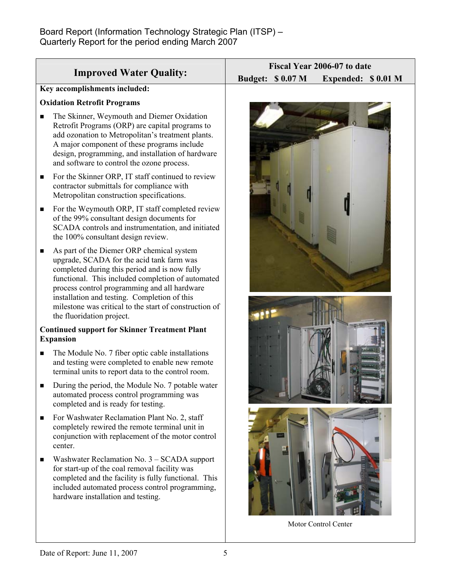|                                                                                                                                                                                                                                                                                                                                                                                          | Fiscal Year 2006-07 to date                    |  |  |
|------------------------------------------------------------------------------------------------------------------------------------------------------------------------------------------------------------------------------------------------------------------------------------------------------------------------------------------------------------------------------------------|------------------------------------------------|--|--|
| <b>Improved Water Quality:</b>                                                                                                                                                                                                                                                                                                                                                           | <b>Budget: \$ 0.07 M</b><br>Expended: \$0.01 M |  |  |
| Key accomplishments included:                                                                                                                                                                                                                                                                                                                                                            |                                                |  |  |
| <b>Oxidation Retrofit Programs</b>                                                                                                                                                                                                                                                                                                                                                       |                                                |  |  |
| The Skinner, Weymouth and Diemer Oxidation<br>п<br>Retrofit Programs (ORP) are capital programs to<br>add ozonation to Metropolitan's treatment plants.<br>A major component of these programs include<br>design, programming, and installation of hardware<br>and software to control the ozone process.                                                                                |                                                |  |  |
| For the Skinner ORP, IT staff continued to review<br>п<br>contractor submittals for compliance with<br>Metropolitan construction specifications.                                                                                                                                                                                                                                         |                                                |  |  |
| For the Weymouth ORP, IT staff completed review<br>п<br>of the 99% consultant design documents for<br>SCADA controls and instrumentation, and initiated<br>the 100% consultant design review.                                                                                                                                                                                            |                                                |  |  |
| As part of the Diemer ORP chemical system<br>п<br>upgrade, SCADA for the acid tank farm was<br>completed during this period and is now fully<br>functional. This included completion of automated<br>process control programming and all hardware<br>installation and testing. Completion of this<br>milestone was critical to the start of construction of<br>the fluoridation project. |                                                |  |  |
| <b>Continued support for Skinner Treatment Plant</b><br><b>Expansion</b>                                                                                                                                                                                                                                                                                                                 |                                                |  |  |
| The Module No. 7 fiber optic cable installations<br>п<br>and testing were completed to enable new remote<br>terminal units to report data to the control room.                                                                                                                                                                                                                           |                                                |  |  |
| During the period, the Module No. 7 potable water<br>automated process control programming was<br>completed and is ready for testing.                                                                                                                                                                                                                                                    |                                                |  |  |
| For Washwater Reclamation Plant No. 2, staff<br>п<br>completely rewired the remote terminal unit in<br>conjunction with replacement of the motor control<br>center.                                                                                                                                                                                                                      |                                                |  |  |
| Washwater Reclamation No. 3 – SCADA support<br>for start-up of the coal removal facility was<br>completed and the facility is fully functional. This<br>included automated process control programming,<br>hardware installation and testing.                                                                                                                                            |                                                |  |  |
|                                                                                                                                                                                                                                                                                                                                                                                          | Motor Control Center                           |  |  |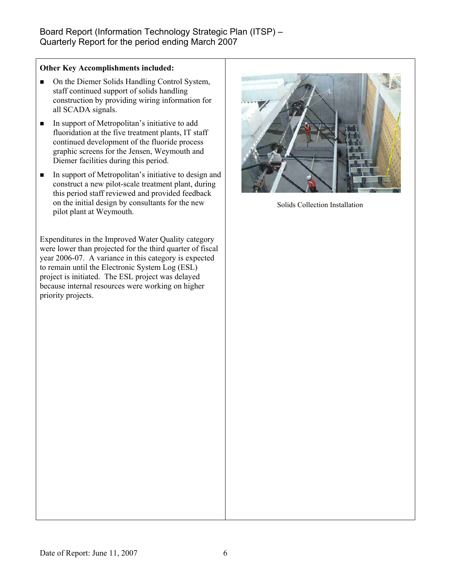#### **Other Key Accomplishments included:**

- On the Diemer Solids Handling Control System, staff continued support of solids handling construction by providing wiring information for all SCADA signals.
- In support of Metropolitan's initiative to add fluoridation at the five treatment plants, IT staff continued development of the fluoride process graphic screens for the Jensen, Weymouth and Diemer facilities during this period.
- In support of Metropolitan's initiative to design and construct a new pilot-scale treatment plant, during this period staff reviewed and provided feedback on the initial design by consultants for the new pilot plant at Weymouth.

Expenditures in the Improved Water Quality category were lower than projected for the third quarter of fiscal year 2006-07. A variance in this category is expected to remain until the Electronic System Log (ESL) project is initiated. The ESL project was delayed because internal resources were working on higher priority projects.



Solids Collection Installation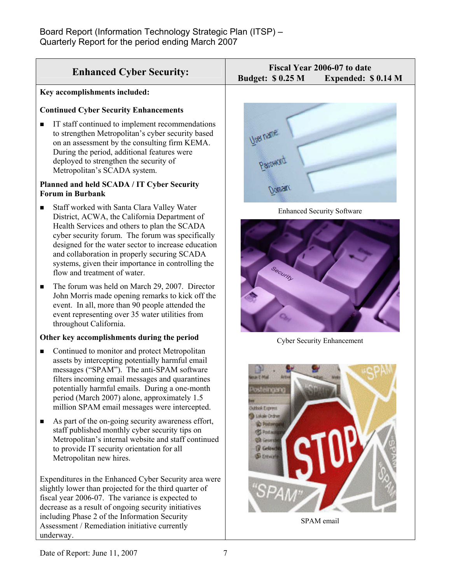| <b>Enhanced Cyber Security:</b>                                                                                                                                                                                                                                                                                                                                                                  | Fiscal Year 2006-07 to date<br><b>Budget: \$ 0.25 M</b><br>Expended: \$0.14 M |
|--------------------------------------------------------------------------------------------------------------------------------------------------------------------------------------------------------------------------------------------------------------------------------------------------------------------------------------------------------------------------------------------------|-------------------------------------------------------------------------------|
| Key accomplishments included:                                                                                                                                                                                                                                                                                                                                                                    |                                                                               |
| <b>Continued Cyber Security Enhancements</b><br>IT staff continued to implement recommendations<br>■<br>to strengthen Metropolitan's cyber security based<br>on an assessment by the consulting firm KEMA.<br>During the period, additional features were<br>deployed to strengthen the security of<br>Metropolitan's SCADA system.                                                              | User name                                                                     |
| Planned and held SCADA / IT Cyber Security<br><b>Forum in Burbank</b>                                                                                                                                                                                                                                                                                                                            |                                                                               |
| Staff worked with Santa Clara Valley Water<br>■<br>District, ACWA, the California Department of<br>Health Services and others to plan the SCADA<br>cyber security forum. The forum was specifically<br>designed for the water sector to increase education<br>and collaboration in properly securing SCADA<br>systems, given their importance in controlling the<br>flow and treatment of water. | <b>Enhanced Security Software</b>                                             |
| The forum was held on March 29, 2007. Director<br>п<br>John Morris made opening remarks to kick off the<br>event. In all, more than 90 people attended the<br>event representing over 35 water utilities from<br>throughout California.                                                                                                                                                          |                                                                               |

Cyber Security Enhancement



SPAM email

underway.

Metropolitan new hires.

**Other key accomplishments during the period**  ■ Continued to monitor and protect Metropolitan assets by intercepting potentially harmful email messages ("SPAM"). The anti-SPAM software filters incoming email messages and quarantines potentially harmful emails. During a one-month period (March 2007) alone, approximately 1.5 million SPAM email messages were intercepted.

As part of the on-going security awareness effort, staff published monthly cyber security tips on Metropolitan's internal website and staff continued

Expenditures in the Enhanced Cyber Security area were slightly lower than projected for the third quarter of fiscal year 2006-07. The variance is expected to decrease as a result of ongoing security initiatives including Phase 2 of the Information Security Assessment / Remediation initiative currently

to provide IT security orientation for all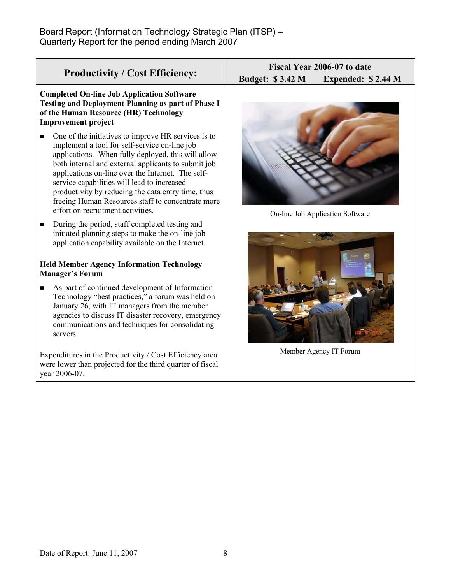| <b>Productivity / Cost Efficiency:</b>                                                                                                                                                                                                                                                                                                                                                                                                                                     | Fiscal Year 2006-07 to date                   |  |  |  |
|----------------------------------------------------------------------------------------------------------------------------------------------------------------------------------------------------------------------------------------------------------------------------------------------------------------------------------------------------------------------------------------------------------------------------------------------------------------------------|-----------------------------------------------|--|--|--|
|                                                                                                                                                                                                                                                                                                                                                                                                                                                                            | <b>Budget: \$3.42 M</b><br>Expended: \$2.44 M |  |  |  |
| <b>Completed On-line Job Application Software</b><br><b>Testing and Deployment Planning as part of Phase I</b><br>of the Human Resource (HR) Technology<br><b>Improvement project</b>                                                                                                                                                                                                                                                                                      |                                               |  |  |  |
| One of the initiatives to improve HR services is to<br>п<br>implement a tool for self-service on-line job<br>applications. When fully deployed, this will allow<br>both internal and external applicants to submit job<br>applications on-line over the Internet. The self-<br>service capabilities will lead to increased<br>productivity by reducing the data entry time, thus<br>freeing Human Resources staff to concentrate more<br>effort on recruitment activities. | On-line Job Application Software              |  |  |  |
| During the period, staff completed testing and<br>п<br>initiated planning steps to make the on-line job<br>application capability available on the Internet.                                                                                                                                                                                                                                                                                                               |                                               |  |  |  |
| <b>Held Member Agency Information Technology</b><br><b>Manager's Forum</b>                                                                                                                                                                                                                                                                                                                                                                                                 |                                               |  |  |  |
| As part of continued development of Information<br>п<br>Technology "best practices," a forum was held on<br>January 26, with IT managers from the member<br>agencies to discuss IT disaster recovery, emergency<br>communications and techniques for consolidating<br>servers.                                                                                                                                                                                             |                                               |  |  |  |

Expenditures in the Productivity / Cost Efficiency area were lower than projected for the third quarter of fiscal year 2006-07.

Member Agency IT Forum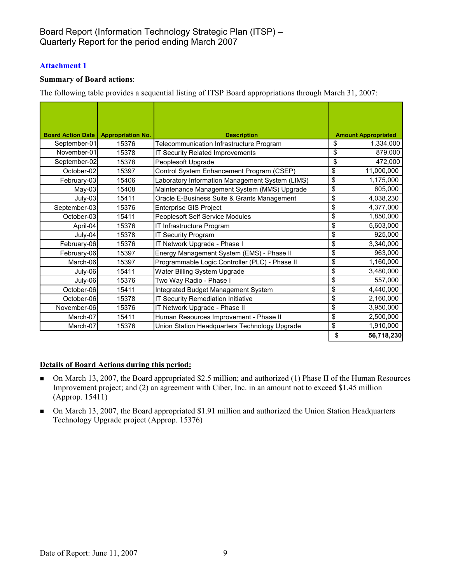## Board Report (Information Technology Strategic Plan (ITSP) – Quarterly Report for the period ending March 2007

#### **Attachment 1**

#### **Summary of Board actions**:

The following table provides a sequential listing of ITSP Board appropriations through March 31, 2007:

| <b>Board Action Date   Appropriation No.</b> |       | <b>Description</b>                              |    | <b>Amount Appropriated</b> |  |
|----------------------------------------------|-------|-------------------------------------------------|----|----------------------------|--|
| September-01                                 | 15376 | Telecommunication Infrastructure Program        | \$ | 1,334,000                  |  |
| November-01                                  | 15378 | IT Security Related Improvements                | \$ | 879,000                    |  |
| September-02                                 | 15378 | Peoplesoft Upgrade                              | \$ | 472,000                    |  |
| October-02                                   | 15397 | Control System Enhancement Program (CSEP)       | \$ | 11,000,000                 |  |
| February-03                                  | 15406 | Laboratory Information Management System (LIMS) | \$ | 1,175,000                  |  |
| $May-03$                                     | 15408 | Maintenance Management System (MMS) Upgrade     | \$ | 605,000                    |  |
| July-03                                      | 15411 | Oracle E-Business Suite & Grants Management     | \$ | 4,038,230                  |  |
| September-03                                 | 15376 | <b>Enterprise GIS Project</b>                   | \$ | 4,377,000                  |  |
| October-03                                   | 15411 | Peoplesoft Self Service Modules                 | \$ | 1,850,000                  |  |
| April-04                                     | 15376 | IT Infrastructure Program                       | \$ | 5,603,000                  |  |
| July-04                                      | 15378 | <b>IT Security Program</b>                      | \$ | 925,000                    |  |
| February-06                                  | 15376 | IT Network Upgrade - Phase I                    | \$ | 3,340,000                  |  |
| February-06                                  | 15397 | Energy Management System (EMS) - Phase II       | \$ | 963,000                    |  |
| March-06                                     | 15397 | Programmable Logic Controller (PLC) - Phase II  | \$ | 1,160,000                  |  |
| July-06                                      | 15411 | Water Billing System Upgrade                    | \$ | 3,480,000                  |  |
| July-06                                      | 15376 | Two Way Radio - Phase I                         | \$ | 557,000                    |  |
| October-06                                   | 15411 | Integrated Budget Management System             | \$ | 4,440,000                  |  |
| October-06                                   | 15378 | IT Security Remediation Initiative              | \$ | 2,160,000                  |  |
| November-06                                  | 15376 | IT Network Upgrade - Phase II                   | \$ | 3,950,000                  |  |
| March-07                                     | 15411 | Human Resources Improvement - Phase II          | \$ | 2,500,000                  |  |
| March-07                                     | 15376 | Union Station Headquarters Technology Upgrade   | \$ | 1,910,000                  |  |
|                                              |       |                                                 | \$ | 56,718,230                 |  |

#### **Details of Board Actions during this period:**

- On March 13, 2007, the Board appropriated \$2.5 million; and authorized (1) Phase II of the Human Resources Improvement project; and (2) an agreement with Ciber, Inc. in an amount not to exceed \$1.45 million (Approp. 15411)
- On March 13, 2007, the Board appropriated \$1.91 million and authorized the Union Station Headquarters Technology Upgrade project (Approp. 15376)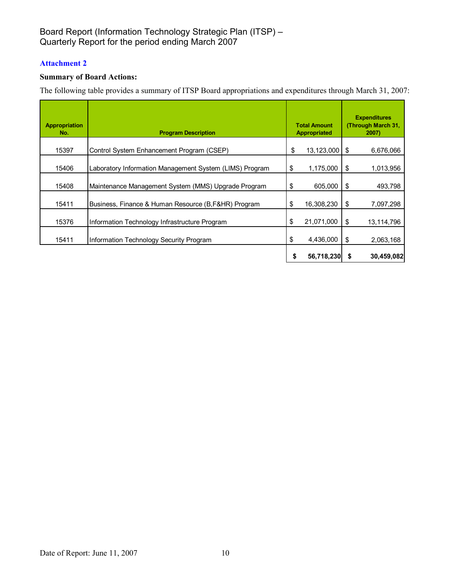# Board Report (Information Technology Strategic Plan (ITSP) – Quarterly Report for the period ending March 2007

## **Attachment 2**

## **Summary of Board Actions:**

The following table provides a summary of ITSP Board appropriations and expenditures through March 31, 2007:

| <b>Appropriation</b><br>No. | <b>Program Description</b>                              | <b>Total Amount</b><br><b>Appropriated</b> |            | <b>Expenditures</b><br>(Through March 31,<br>2007) |            |
|-----------------------------|---------------------------------------------------------|--------------------------------------------|------------|----------------------------------------------------|------------|
| 15397                       | Control System Enhancement Program (CSEP)               | \$                                         | 13,123,000 | S.                                                 | 6,676,066  |
| 15406                       | Laboratory Information Management System (LIMS) Program | \$                                         | 1,175,000  | \$                                                 | 1,013,956  |
| 15408                       | Maintenance Management System (MMS) Upgrade Program     | \$                                         | 605,000    | \$                                                 | 493,798    |
| 15411                       | Business, Finance & Human Resource (B, F&HR) Program    | \$                                         | 16,308,230 | \$                                                 | 7,097,298  |
| 15376                       | Information Technology Infrastructure Program           | \$                                         | 21,071,000 | \$                                                 | 13,114,796 |
| 15411                       | Information Technology Security Program                 | \$                                         | 4,436,000  | \$                                                 | 2,063,168  |
|                             |                                                         | \$                                         | 56,718,230 |                                                    | 30,459,082 |